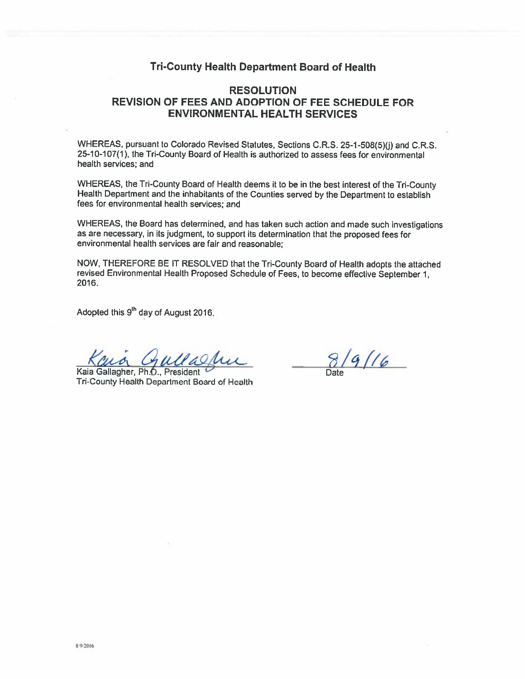## **Tri-County Health Department Board of Health**

# **RESOLUTION** REVISION OF FEES AND ADOPTION OF FEE SCHEDULE FOR **ENVIRONMENTAL HEALTH SERVICES**

WHEREAS, pursuant to Colorado Revised Statutes, Sections C.R.S. 25-1-508(5)(j) and C.R.S. 25-10-107(1), the Tri-County Board of Health is authorized to assess fees for environmental health services; and

WHEREAS, the Tri-County Board of Health deems it to be in the best interest of the Tri-County Health Department and the inhabitants of the Counties served by the Department to establish fees for environmental health services: and

WHEREAS, the Board has determined, and has taken such action and made such investigations as are necessary, in its judgment, to support its determination that the proposed fees for environmental health services are fair and reasonable;

NOW, THEREFORE BE IT RESOLVED that the Tri-County Board of Health adopts the attached revised Environmental Health Proposed Schedule of Fees, to become effective September 1, 2016.

Adopted this 9<sup>th</sup> day of August 2016.

Kaia Gallagher, Ph.D., President Tri-County Health Department Board of Health

 $8/9/16$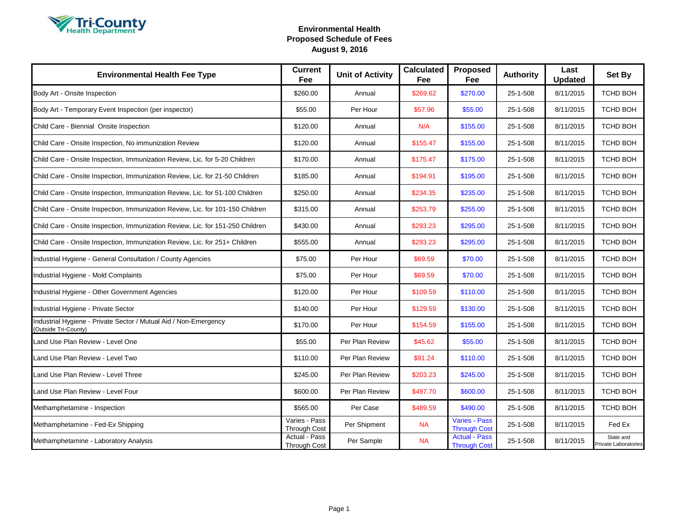

| <b>Environmental Health Fee Type</b>                                                     | <b>Current</b><br>Fee                | <b>Unit of Activity</b> | <b>Calculated</b><br>Fee | Proposed<br>Fee                             | <b>Authority</b> | Last<br><b>Updated</b> | Set By                            |
|------------------------------------------------------------------------------------------|--------------------------------------|-------------------------|--------------------------|---------------------------------------------|------------------|------------------------|-----------------------------------|
| Body Art - Onsite Inspection                                                             | \$260.00                             | Annual                  | \$269.62                 | \$270.00                                    | 25-1-508         | 8/11/2015              | <b>TCHD BOH</b>                   |
| Body Art - Temporary Event Inspection (per inspector)                                    | \$55.00                              | Per Hour                | \$57.96                  | \$55.00                                     | 25-1-508         | 8/11/2015              | <b>TCHD BOH</b>                   |
| Child Care - Biennial Onsite Inspection                                                  | \$120.00                             | Annual                  | N/A                      | \$155.00                                    | 25-1-508         | 8/11/2015              | <b>TCHD BOH</b>                   |
| Child Care - Onsite Inspection, No immunization Review                                   | \$120.00                             | Annual                  | \$155.47                 | \$155.00                                    | 25-1-508         | 8/11/2015              | TCHD BOH                          |
| Child Care - Onsite Inspection, Immunization Review, Lic. for 5-20 Children              | \$170.00                             | Annual                  | \$175.47                 | \$175.00                                    | 25-1-508         | 8/11/2015              | <b>TCHD BOH</b>                   |
| Child Care - Onsite Inspection, Immunization Review, Lic. for 21-50 Children             | \$185.00                             | Annual                  | \$194.91                 | \$195.00                                    | 25-1-508         | 8/11/2015              | <b>TCHD BOH</b>                   |
| Child Care - Onsite Inspection, Immunization Review, Lic. for 51-100 Children            | \$250.00                             | Annual                  | \$234.35                 | \$235.00                                    | 25-1-508         | 8/11/2015              | TCHD BOH                          |
| Child Care - Onsite Inspection, Immunization Review, Lic. for 101-150 Children           | \$315.00                             | Annual                  | \$253.79                 | \$255.00                                    | 25-1-508         | 8/11/2015              | TCHD BOH                          |
| Child Care - Onsite Inspection, Immunization Review, Lic. for 151-250 Children           | \$430.00                             | Annual                  | \$293.23                 | \$295.00                                    | 25-1-508         | 8/11/2015              | <b>TCHD BOH</b>                   |
| Child Care - Onsite Inspection, Immunization Review, Lic. for 251+ Children              | \$555.00                             | Annual                  | \$293.23                 | \$295.00                                    | 25-1-508         | 8/11/2015              | <b>TCHD BOH</b>                   |
| Industrial Hygiene - General Consultation / County Agencies                              | \$75.00                              | Per Hour                | \$69.59                  | \$70.00                                     | 25-1-508         | 8/11/2015              | TCHD BOH                          |
| Industrial Hygiene - Mold Complaints                                                     | \$75.00                              | Per Hour                | \$69.59                  | \$70.00                                     | 25-1-508         | 8/11/2015              | TCHD BOH                          |
| Industrial Hygiene - Other Government Agencies                                           | \$120.00                             | Per Hour                | \$109.59                 | \$110.00                                    | 25-1-508         | 8/11/2015              | TCHD BOH                          |
| Industrial Hygiene - Private Sector                                                      | \$140.00                             | Per Hour                | \$129.59                 | \$130.00                                    | 25-1-508         | 8/11/2015              | <b>TCHD BOH</b>                   |
| Industrial Hygiene - Private Sector / Mutual Aid / Non-Emergency<br>(Outside Tri-County) | \$170.00                             | Per Hour                | \$154.59                 | \$155.00                                    | 25-1-508         | 8/11/2015              | TCHD BOH                          |
| Land Use Plan Review - Level One                                                         | \$55.00                              | Per Plan Review         | \$45.62                  | \$55.00                                     | 25-1-508         | 8/11/2015              | <b>TCHD BOH</b>                   |
| Land Use Plan Review - Level Two                                                         | \$110.00                             | Per Plan Review         | \$91.24                  | \$110.00                                    | 25-1-508         | 8/11/2015              | TCHD BOH                          |
| Land Use Plan Review - Level Three                                                       | \$245.00                             | Per Plan Review         | \$203.23                 | \$245.00                                    | 25-1-508         | 8/11/2015              | <b>TCHD BOH</b>                   |
| Land Use Plan Review - Level Four                                                        | \$600.00                             | Per Plan Review         | \$497.70                 | \$600.00                                    | 25-1-508         | 8/11/2015              | TCHD BOH                          |
| Methamphetamine - Inspection                                                             | \$565.00                             | Per Case                | \$489.59                 | \$490.00                                    | 25-1-508         | 8/11/2015              | TCHD BOH                          |
| Methamphetamine - Fed-Ex Shipping                                                        | Varies - Pass<br><b>Through Cost</b> | Per Shipment            | <b>NA</b>                | <b>Varies - Pass</b><br><b>Through Cost</b> | 25-1-508         | 8/11/2015              | Fed Ex                            |
| Methamphetamine - Laboratory Analysis                                                    | Actual - Pass<br><b>Through Cost</b> | Per Sample              | <b>NA</b>                | <b>Actual - Pass</b><br><b>Through Cost</b> | 25-1-508         | 8/11/2015              | State and<br>Private Laboratories |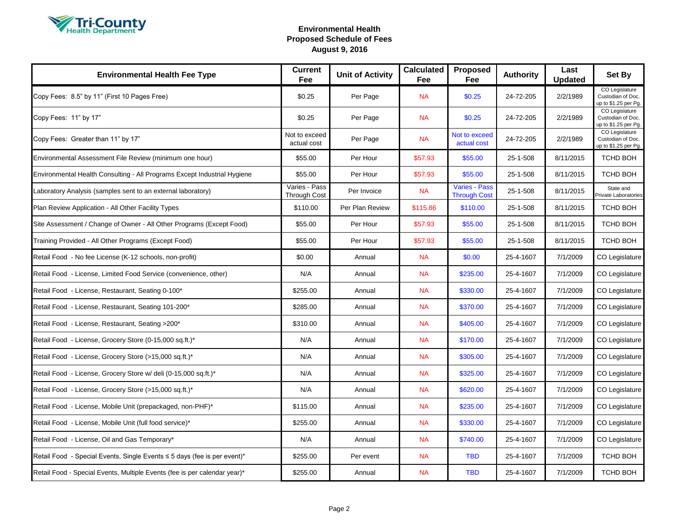

| <b>Environmental Health Fee Type</b>                                      | <b>Current</b><br>Fee                | <b>Unit of Activity</b> | <b>Calculated</b><br>Fee | <b>Proposed</b><br>Fee                      | <b>Authority</b> | Last<br><b>Updated</b> | Set By                                                      |
|---------------------------------------------------------------------------|--------------------------------------|-------------------------|--------------------------|---------------------------------------------|------------------|------------------------|-------------------------------------------------------------|
| Copy Fees: 8.5" by 11" (First 10 Pages Free)                              | \$0.25                               | Per Page                | <b>NA</b>                | \$0.25                                      | 24-72-205        | 2/2/1989               | CO Legislature<br>Custodian of Doc.<br>up to \$1.25 per Pg. |
| Copy Fees: 11" by 17"                                                     | \$0.25                               | Per Page                | <b>NA</b>                | \$0.25                                      | 24-72-205        | 2/2/1989               | CO Legislature<br>Custodian of Doc.<br>up to \$1.25 per Pg. |
| Copy Fees: Greater than 11" by 17"                                        | Not to exceed<br>actual cost         | Per Page                | <b>NA</b>                | Not to exceed<br>actual cost                | 24-72-205        | 2/2/1989               | CO Legislature<br>Custodian of Doc.<br>up to \$1.25 per Pg. |
| Environmental Assessment File Review (minimum one hour)                   | \$55.00                              | Per Hour                | \$57.93                  | \$55.00                                     | 25-1-508         | 8/11/2015              | TCHD BOH                                                    |
| Environmental Health Consulting - All Programs Except Industrial Hygiene  | \$55.00                              | Per Hour                | \$57.93                  | \$55.00                                     | 25-1-508         | 8/11/2015              | TCHD BOH                                                    |
| Laboratory Analysis (samples sent to an external laboratory)              | Varies - Pass<br><b>Through Cost</b> | Per Invoice             | <b>NA</b>                | <b>Varies - Pass</b><br><b>Through Cost</b> | 25-1-508         | 8/11/2015              | State and<br>Private Laboratories                           |
| Plan Review Application - All Other Facility Types                        | \$110.00                             | Per Plan Review         | \$115.86                 | \$110.00                                    | 25-1-508         | 8/11/2015              | TCHD BOH                                                    |
| Site Assessment / Change of Owner - All Other Programs (Except Food)      | \$55.00                              | Per Hour                | \$57.93                  | \$55.00                                     | 25-1-508         | 8/11/2015              | TCHD BOH                                                    |
| Training Provided - All Other Programs (Except Food)                      | \$55.00                              | Per Hour                | \$57.93                  | \$55.00                                     | 25-1-508         | 8/11/2015              | <b>TCHD BOH</b>                                             |
| Retail Food - No fee License (K-12 schools, non-profit)                   | \$0.00                               | Annual                  | <b>NA</b>                | \$0.00                                      | 25-4-1607        | 7/1/2009               | <b>CO Legislature</b>                                       |
| Retail Food - License, Limited Food Service (convenience, other)          | N/A                                  | Annual                  | <b>NA</b>                | \$235.00                                    | 25-4-1607        | 7/1/2009               | CO Legislature                                              |
| Retail Food - License, Restaurant, Seating 0-100*                         | \$255.00                             | Annual                  | <b>NA</b>                | \$330.00                                    | 25-4-1607        | 7/1/2009               | CO Legislature                                              |
| Retail Food - License, Restaurant, Seating 101-200*                       | \$285.00                             | Annual                  | <b>NA</b>                | \$370.00                                    | 25-4-1607        | 7/1/2009               | CO Legislature                                              |
| Retail Food - License, Restaurant, Seating >200*                          | \$310.00                             | Annual                  | <b>NA</b>                | \$405.00                                    | 25-4-1607        | 7/1/2009               | CO Legislature                                              |
| Retail Food - License, Grocery Store (0-15,000 sq.ft.)*                   | N/A                                  | Annual                  | <b>NA</b>                | \$170.00                                    | 25-4-1607        | 7/1/2009               | CO Legislature                                              |
| Retail Food - License, Grocery Store (>15,000 sq.ft.)*                    | N/A                                  | Annual                  | <b>NA</b>                | \$305.00                                    | 25-4-1607        | 7/1/2009               | CO Legislature                                              |
| Retail Food - License, Grocery Store w/ deli (0-15,000 sq.ft.)*           | N/A                                  | Annual                  | <b>NA</b>                | \$325.00                                    | 25-4-1607        | 7/1/2009               | CO Legislature                                              |
| Retail Food - License, Grocery Store (>15,000 sq.ft.)*                    | N/A                                  | Annual                  | <b>NA</b>                | \$620.00                                    | 25-4-1607        | 7/1/2009               | CO Legislature                                              |
| Retail Food - License, Mobile Unit (prepackaged, non-PHF)*                | \$115.00                             | Annual                  | <b>NA</b>                | \$235.00                                    | 25-4-1607        | 7/1/2009               | CO Legislature                                              |
| Retail Food - License, Mobile Unit (full food service)*                   | \$255.00                             | Annual                  | <b>NA</b>                | \$330.00                                    | 25-4-1607        | 7/1/2009               | CO Legislature                                              |
| Retail Food - License, Oil and Gas Temporary*                             | N/A                                  | Annual                  | <b>NA</b>                | \$740.00                                    | 25-4-1607        | 7/1/2009               | CO Legislature                                              |
| Retail Food - Special Events, Single Events ≤ 5 days (fee is per event)*  | \$255.00                             | Per event               | <b>NA</b>                | <b>TBD</b>                                  | 25-4-1607        | 7/1/2009               | TCHD BOH                                                    |
| Retail Food - Special Events, Multiple Events (fee is per calendar year)* | \$255.00                             | Annual                  | <b>NA</b>                | <b>TBD</b>                                  | 25-4-1607        | 7/1/2009               | <b>TCHD BOH</b>                                             |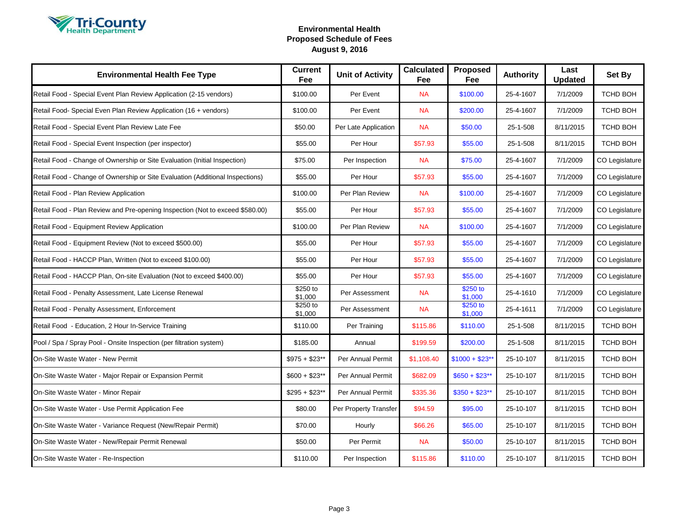

| <b>Environmental Health Fee Type</b>                                          | <b>Current</b><br>Fee | <b>Unit of Activity</b> | <b>Calculated</b><br>Fee | Proposed<br>Fee     | <b>Authority</b> | Last<br><b>Updated</b> | Set By          |
|-------------------------------------------------------------------------------|-----------------------|-------------------------|--------------------------|---------------------|------------------|------------------------|-----------------|
| Retail Food - Special Event Plan Review Application (2-15 vendors)            | \$100.00              | Per Event               | <b>NA</b>                | \$100.00            | 25-4-1607        | 7/1/2009               | TCHD BOH        |
| Retail Food- Special Even Plan Review Application (16 + vendors)              | \$100.00              | Per Event               | <b>NA</b>                | \$200.00            | 25-4-1607        | 7/1/2009               | TCHD BOH        |
| Retail Food - Special Event Plan Review Late Fee                              | \$50.00               | Per Late Application    | <b>NA</b>                | \$50.00             | 25-1-508         | 8/11/2015              | TCHD BOH        |
| Retail Food - Special Event Inspection (per inspector)                        | \$55.00               | Per Hour                | \$57.93                  | \$55.00             | 25-1-508         | 8/11/2015              | <b>TCHD BOH</b> |
| Retail Food - Change of Ownership or Site Evaluation (Initial Inspection)     | \$75.00               | Per Inspection          | <b>NA</b>                | \$75.00             | 25-4-1607        | 7/1/2009               | CO Legislature  |
| Retail Food - Change of Ownership or Site Evaluation (Additional Inspections) | \$55.00               | Per Hour                | \$57.93                  | \$55.00             | 25-4-1607        | 7/1/2009               | CO Legislature  |
| Retail Food - Plan Review Application                                         | \$100.00              | Per Plan Review         | <b>NA</b>                | \$100.00            | 25-4-1607        | 7/1/2009               | CO Legislature  |
| Retail Food - Plan Review and Pre-opening Inspection (Not to exceed \$580.00) | \$55.00               | Per Hour                | \$57.93                  | \$55.00             | 25-4-1607        | 7/1/2009               | CO Legislature  |
| Retail Food - Equipment Review Application                                    | \$100.00              | Per Plan Review         | <b>NA</b>                | \$100.00            | 25-4-1607        | 7/1/2009               | CO Legislature  |
| Retail Food - Equipment Review (Not to exceed \$500.00)                       | \$55.00               | Per Hour                | \$57.93                  | \$55.00             | 25-4-1607        | 7/1/2009               | CO Legislature  |
| Retail Food - HACCP Plan, Written (Not to exceed \$100.00)                    | \$55.00               | Per Hour                | \$57.93                  | \$55.00             | 25-4-1607        | 7/1/2009               | CO Legislature  |
| Retail Food - HACCP Plan, On-site Evaluation (Not to exceed \$400.00)         | \$55.00               | Per Hour                | \$57.93                  | \$55.00             | 25-4-1607        | 7/1/2009               | CO Legislature  |
| Retail Food - Penalty Assessment, Late License Renewal                        | \$250 to<br>\$1,000   | Per Assessment          | <b>NA</b>                | \$250 to<br>\$1,000 | 25-4-1610        | 7/1/2009               | CO Legislature  |
| Retail Food - Penalty Assessment, Enforcement                                 | \$250 to<br>\$1,000   | Per Assessment          | <b>NA</b>                | \$250 to<br>\$1,000 | 25-4-1611        | 7/1/2009               | CO Legislature  |
| Retail Food - Education, 2 Hour In-Service Training                           | \$110.00              | Per Training            | \$115.86                 | \$110.00            | 25-1-508         | 8/11/2015              | TCHD BOH        |
| Pool / Spa / Spray Pool - Onsite Inspection (per filtration system)           | \$185.00              | Annual                  | \$199.59                 | \$200.00            | 25-1-508         | 8/11/2015              | TCHD BOH        |
| On-Site Waste Water - New Permit                                              | $$975 + $23**$        | Per Annual Permit       | \$1,108.40               | $$1000 + $23$ **    | 25-10-107        | 8/11/2015              | TCHD BOH        |
| On-Site Waste Water - Major Repair or Expansion Permit                        | $$600 + $23**$        | Per Annual Permit       | \$682.09                 | $$650 + $23**$      | 25-10-107        | 8/11/2015              | TCHD BOH        |
| On-Site Waste Water - Minor Repair                                            | $$295 + $23**$        | Per Annual Permit       | \$335.36                 | $$350 + $23**$      | 25-10-107        | 8/11/2015              | TCHD BOH        |
| On-Site Waste Water - Use Permit Application Fee                              | \$80.00               | Per Property Transfer   | \$94.59                  | \$95.00             | 25-10-107        | 8/11/2015              | TCHD BOH        |
| On-Site Waste Water - Variance Request (New/Repair Permit)                    | \$70.00               | Hourly                  | \$66.26                  | \$65.00             | 25-10-107        | 8/11/2015              | TCHD BOH        |
| On-Site Waste Water - New/Repair Permit Renewal                               | \$50.00               | Per Permit              | <b>NA</b>                | \$50.00             | 25-10-107        | 8/11/2015              | <b>TCHD BOH</b> |
| On-Site Waste Water - Re-Inspection                                           | \$110.00              | Per Inspection          | \$115.86                 | \$110.00            | 25-10-107        | 8/11/2015              | TCHD BOH        |